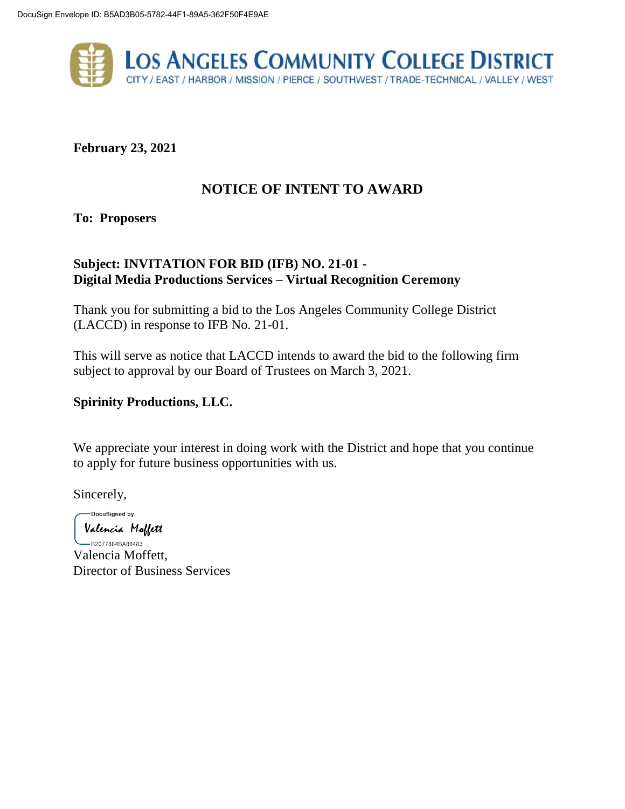

**February 23, 2021**

# **NOTICE OF INTENT TO AWARD**

**To: Proposers**

# **Subject: INVITATION FOR BID (IFB) NO. 21-01 - Digital Media Productions Services – Virtual Recognition Ceremony**

Thank you for submitting a bid to the Los Angeles Community College District (LACCD) in response to IFB No. 21-01.

This will serve as notice that LACCD intends to award the bid to the following firm subject to approval by our Board of Trustees on March 3, 2021.

# **Spirinity Productions, LLC.**

We appreciate your interest in doing work with the District and hope that you continue to apply for future business opportunities with us.

Sincerely,

-DocuSigned by: Valencia Moffett

 $-$ B2077884BA88483... Valencia Moffett, Director of Business Services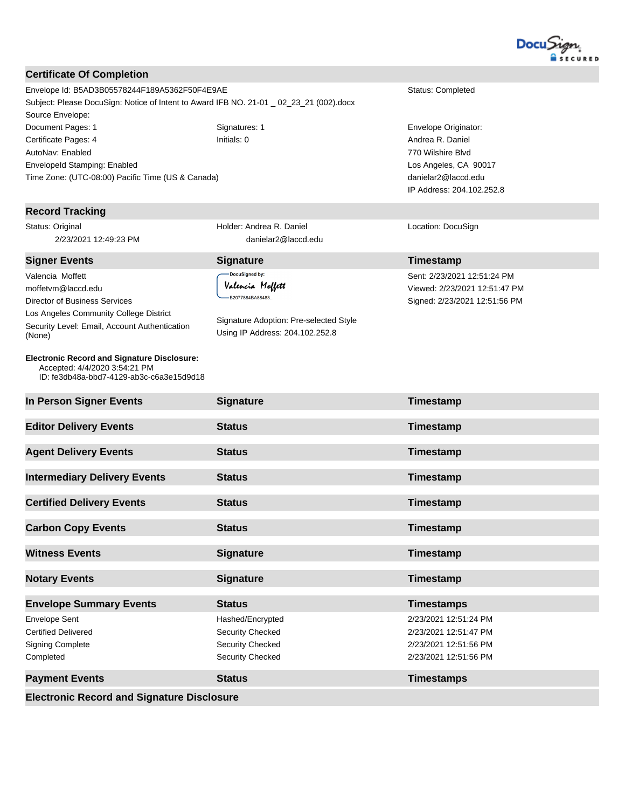

#### **Certificate Of Completion**

Envelope Id: B5AD3B05578244F189A5362F50F4E9AE Status: Completed Subject: Please DocuSign: Notice of Intent to Award IFB NO. 21-01 \_ 02\_23\_21 (002).docx Source Envelope: Document Pages: 1 Signatures: 1 Signatures: 1 Envelope Originator: Certificate Pages: 4 **Initials: 0** Initials: 0 **Andrea R. Daniel** Andrea R. Daniel AutoNav: Enabled EnvelopeId Stamping: Enabled Time Zone: (UTC-08:00) Pacific Time (US & Canada)

#### **Record Tracking**

Valencia Moffett moffetvm@laccd.edu Director of Business Services

(None)

Status: Original 2/23/2021 12:49:23 PM

Los Angeles Community College District Security Level: Email, Account Authentication

**Electronic Record and Signature Disclosure:**  Accepted: 4/4/2020 3:54:21 PM

Holder: Andrea R. Daniel danielar2@laccd.edu

> .<br>DocuSianed by: Valencia Moffett ۔<br>...B2077884BA88483

Signature Adoption: Pre-selected Style Using IP Address: 204.102.252.8

770 Wilshire Blvd Los Angeles, CA 90017 danielar2@laccd.edu IP Address: 204.102.252.8

Location: DocuSign

# **Signer Events Signature Timestamp**

Sent: 2/23/2021 12:51:24 PM Viewed: 2/23/2021 12:51:47 PM Signed: 2/23/2021 12:51:56 PM

| ID: fe3db48a-bbd7-4129-ab3c-c6a3e15d9d18                                                   |                                                                                     |                                                                                                  |
|--------------------------------------------------------------------------------------------|-------------------------------------------------------------------------------------|--------------------------------------------------------------------------------------------------|
| In Person Signer Events                                                                    | <b>Signature</b>                                                                    | Timestamp                                                                                        |
| <b>Editor Delivery Events</b>                                                              | <b>Status</b>                                                                       | Timestamp                                                                                        |
| <b>Agent Delivery Events</b>                                                               | <b>Status</b>                                                                       | Timestamp                                                                                        |
| <b>Intermediary Delivery Events</b>                                                        | <b>Status</b>                                                                       | Timestamp                                                                                        |
| <b>Certified Delivery Events</b>                                                           | <b>Status</b>                                                                       | Timestamp                                                                                        |
| <b>Carbon Copy Events</b>                                                                  | <b>Status</b>                                                                       | Timestamp                                                                                        |
|                                                                                            |                                                                                     |                                                                                                  |
| <b>Witness Events</b>                                                                      | <b>Signature</b>                                                                    | Timestamp                                                                                        |
| <b>Notary Events</b>                                                                       | <b>Signature</b>                                                                    | Timestamp                                                                                        |
| <b>Envelope Summary Events</b>                                                             | <b>Status</b>                                                                       | <b>Timestamps</b>                                                                                |
| <b>Envelope Sent</b><br><b>Certified Delivered</b><br><b>Signing Complete</b><br>Completed | Hashed/Encrypted<br><b>Security Checked</b><br>Security Checked<br>Security Checked | 2/23/2021 12:51:24 PM<br>2/23/2021 12:51:47 PM<br>2/23/2021 12:51:56 PM<br>2/23/2021 12:51:56 PM |
| <b>Payment Events</b>                                                                      | <b>Status</b>                                                                       | <b>Timestamps</b>                                                                                |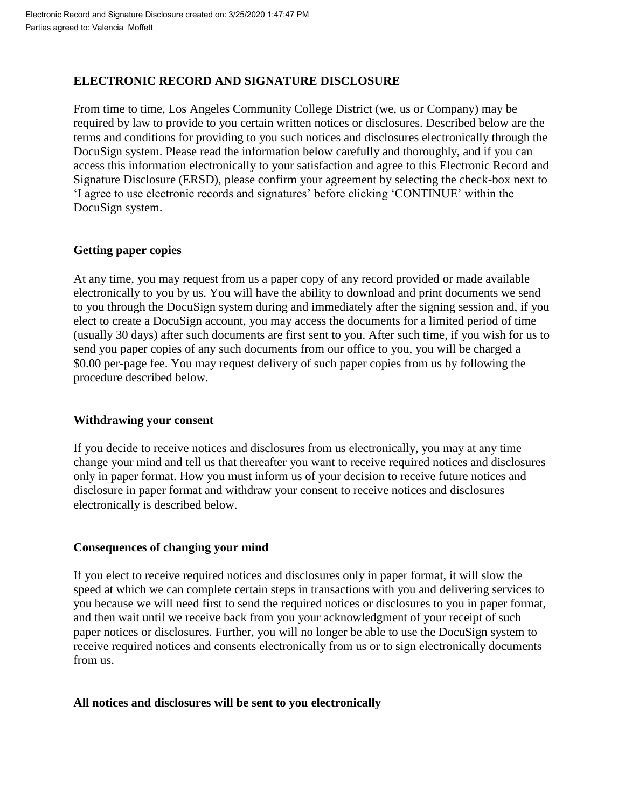## **ELECTRONIC RECORD AND SIGNATURE DISCLOSURE**

From time to time, Los Angeles Community College District (we, us or Company) may be required by law to provide to you certain written notices or disclosures. Described below are the terms and conditions for providing to you such notices and disclosures electronically through the DocuSign system. Please read the information below carefully and thoroughly, and if you can access this information electronically to your satisfaction and agree to this Electronic Record and Signature Disclosure (ERSD), please confirm your agreement by selecting the check-box next to 'I agree to use electronic records and signatures' before clicking 'CONTINUE' within the DocuSign system.

## **Getting paper copies**

At any time, you may request from us a paper copy of any record provided or made available electronically to you by us. You will have the ability to download and print documents we send to you through the DocuSign system during and immediately after the signing session and, if you elect to create a DocuSign account, you may access the documents for a limited period of time (usually 30 days) after such documents are first sent to you. After such time, if you wish for us to send you paper copies of any such documents from our office to you, you will be charged a \$0.00 per-page fee. You may request delivery of such paper copies from us by following the procedure described below.

## **Withdrawing your consent**

If you decide to receive notices and disclosures from us electronically, you may at any time change your mind and tell us that thereafter you want to receive required notices and disclosures only in paper format. How you must inform us of your decision to receive future notices and disclosure in paper format and withdraw your consent to receive notices and disclosures electronically is described below.

## **Consequences of changing your mind**

If you elect to receive required notices and disclosures only in paper format, it will slow the speed at which we can complete certain steps in transactions with you and delivering services to you because we will need first to send the required notices or disclosures to you in paper format, and then wait until we receive back from you your acknowledgment of your receipt of such paper notices or disclosures. Further, you will no longer be able to use the DocuSign system to receive required notices and consents electronically from us or to sign electronically documents from us.

## **All notices and disclosures will be sent to you electronically**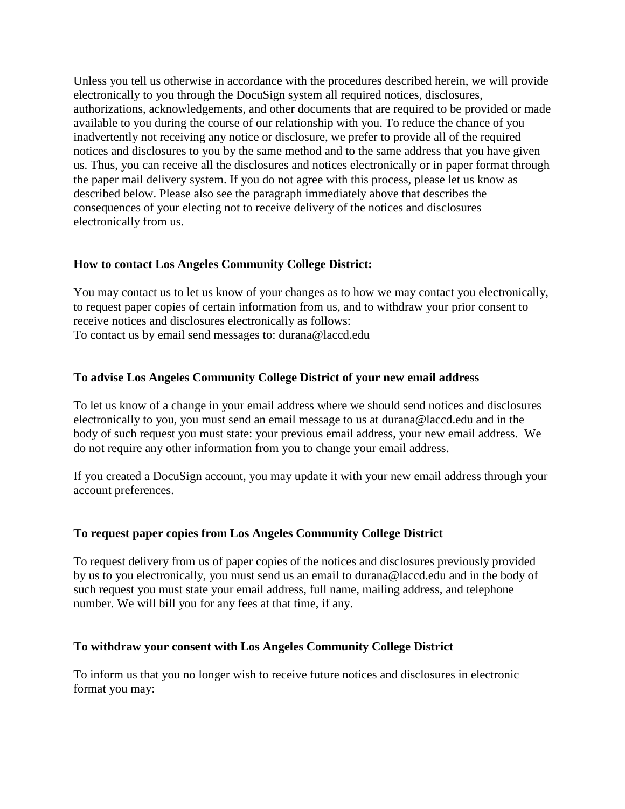Unless you tell us otherwise in accordance with the procedures described herein, we will provide electronically to you through the DocuSign system all required notices, disclosures, authorizations, acknowledgements, and other documents that are required to be provided or made available to you during the course of our relationship with you. To reduce the chance of you inadvertently not receiving any notice or disclosure, we prefer to provide all of the required notices and disclosures to you by the same method and to the same address that you have given us. Thus, you can receive all the disclosures and notices electronically or in paper format through the paper mail delivery system. If you do not agree with this process, please let us know as described below. Please also see the paragraph immediately above that describes the consequences of your electing not to receive delivery of the notices and disclosures electronically from us.

## **How to contact Los Angeles Community College District:**

You may contact us to let us know of your changes as to how we may contact you electronically, to request paper copies of certain information from us, and to withdraw your prior consent to receive notices and disclosures electronically as follows: To contact us by email send messages to: durana@laccd.edu

#### **To advise Los Angeles Community College District of your new email address**

To let us know of a change in your email address where we should send notices and disclosures electronically to you, you must send an email message to us at durana@laccd.edu and in the body of such request you must state: your previous email address, your new email address. We do not require any other information from you to change your email address.

If you created a DocuSign account, you may update it with your new email address through your account preferences.

#### **To request paper copies from Los Angeles Community College District**

To request delivery from us of paper copies of the notices and disclosures previously provided by us to you electronically, you must send us an email to durana@laccd.edu and in the body of such request you must state your email address, full name, mailing address, and telephone number. We will bill you for any fees at that time, if any.

#### **To withdraw your consent with Los Angeles Community College District**

To inform us that you no longer wish to receive future notices and disclosures in electronic format you may: